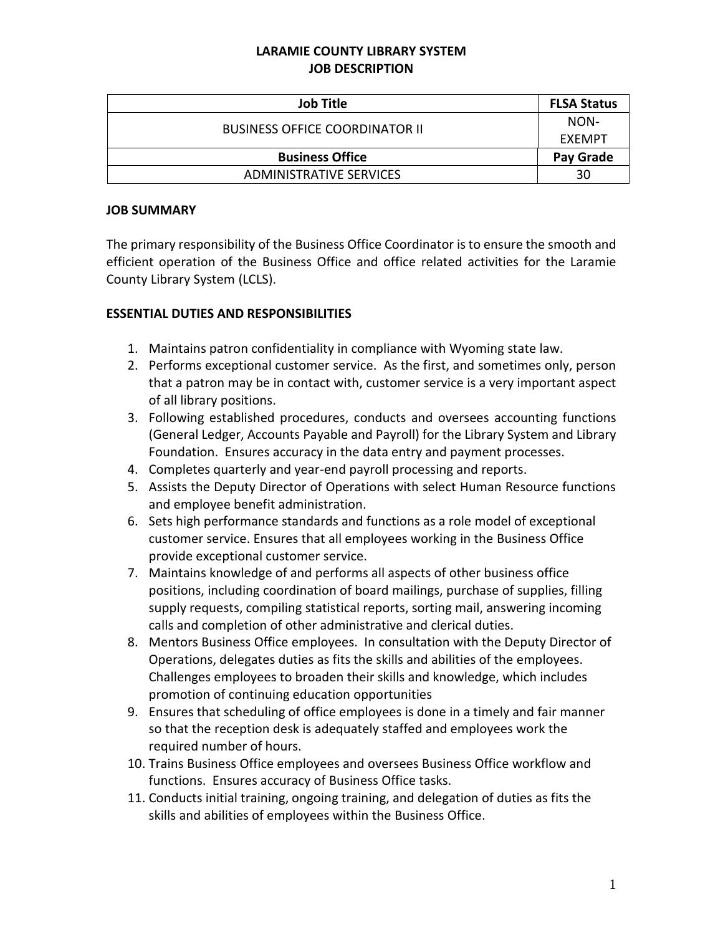### **LARAMIE COUNTY LIBRARY SYSTEM JOB DESCRIPTION**

| <b>Job Title</b>                      | <b>FLSA Status</b> |
|---------------------------------------|--------------------|
| <b>BUSINESS OFFICE COORDINATOR II</b> | NON-               |
|                                       | EXEMPT             |
| <b>Business Office</b>                | Pay Grade          |
| ADMINISTRATIVE SERVICES               | 30                 |

#### **JOB SUMMARY**

The primary responsibility of the Business Office Coordinator is to ensure the smooth and efficient operation of the Business Office and office related activities for the Laramie County Library System (LCLS).

### **ESSENTIAL DUTIES AND RESPONSIBILITIES**

- 1. Maintains patron confidentiality in compliance with Wyoming state law.
- 2. Performs exceptional customer service. As the first, and sometimes only, person that a patron may be in contact with, customer service is a very important aspect of all library positions.
- 3. Following established procedures, conducts and oversees accounting functions (General Ledger, Accounts Payable and Payroll) for the Library System and Library Foundation. Ensures accuracy in the data entry and payment processes.
- 4. Completes quarterly and year-end payroll processing and reports.
- 5. Assists the Deputy Director of Operations with select Human Resource functions and employee benefit administration.
- 6. Sets high performance standards and functions as a role model of exceptional customer service. Ensures that all employees working in the Business Office provide exceptional customer service.
- 7. Maintains knowledge of and performs all aspects of other business office positions, including coordination of board mailings, purchase of supplies, filling supply requests, compiling statistical reports, sorting mail, answering incoming calls and completion of other administrative and clerical duties.
- 8. Mentors Business Office employees. In consultation with the Deputy Director of Operations, delegates duties as fits the skills and abilities of the employees. Challenges employees to broaden their skills and knowledge, which includes promotion of continuing education opportunities
- 9. Ensures that scheduling of office employees is done in a timely and fair manner so that the reception desk is adequately staffed and employees work the required number of hours.
- 10. Trains Business Office employees and oversees Business Office workflow and functions. Ensures accuracy of Business Office tasks.
- 11. Conducts initial training, ongoing training, and delegation of duties as fits the skills and abilities of employees within the Business Office.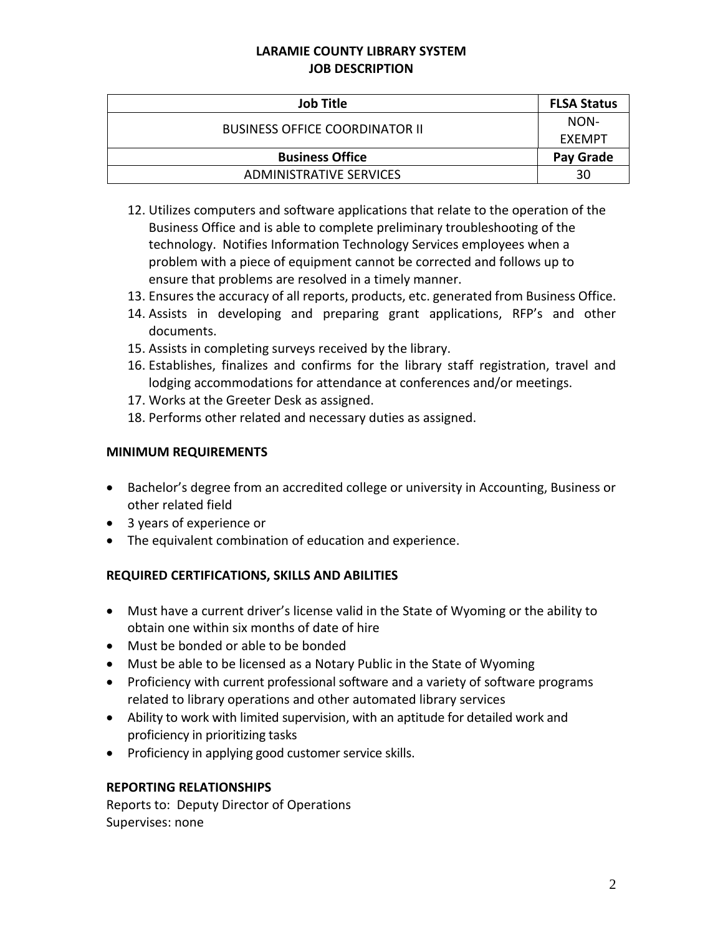## **LARAMIE COUNTY LIBRARY SYSTEM JOB DESCRIPTION**

| <b>Job Title</b>                      | <b>FLSA Status</b> |
|---------------------------------------|--------------------|
| <b>BUSINESS OFFICE COORDINATOR II</b> | NON-               |
|                                       | EXEMPT             |
| <b>Business Office</b>                | Pay Grade          |
| ADMINISTRATIVE SERVICES               | 30                 |

- 12. Utilizes computers and software applications that relate to the operation of the Business Office and is able to complete preliminary troubleshooting of the technology. Notifies Information Technology Services employees when a problem with a piece of equipment cannot be corrected and follows up to ensure that problems are resolved in a timely manner.
- 13. Ensures the accuracy of all reports, products, etc. generated from Business Office.
- 14. Assists in developing and preparing grant applications, RFP's and other documents.
- 15. Assists in completing surveys received by the library.
- 16. Establishes, finalizes and confirms for the library staff registration, travel and lodging accommodations for attendance at conferences and/or meetings.
- 17. Works at the Greeter Desk as assigned.
- 18. Performs other related and necessary duties as assigned.

### **MINIMUM REQUIREMENTS**

- Bachelor's degree from an accredited college or university in Accounting, Business or other related field
- 3 years of experience or
- The equivalent combination of education and experience.

# **REQUIRED CERTIFICATIONS, SKILLS AND ABILITIES**

- Must have a current driver's license valid in the State of Wyoming or the ability to obtain one within six months of date of hire
- Must be bonded or able to be bonded
- Must be able to be licensed as a Notary Public in the State of Wyoming
- Proficiency with current professional software and a variety of software programs related to library operations and other automated library services
- Ability to work with limited supervision, with an aptitude for detailed work and proficiency in prioritizing tasks
- Proficiency in applying good customer service skills.

#### **REPORTING RELATIONSHIPS**

Reports to: Deputy Director of Operations Supervises: none